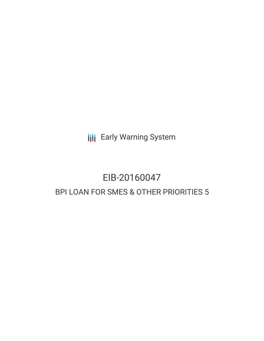**III** Early Warning System

# EIB-20160047 BPI LOAN FOR SMES & OTHER PRIORITIES 5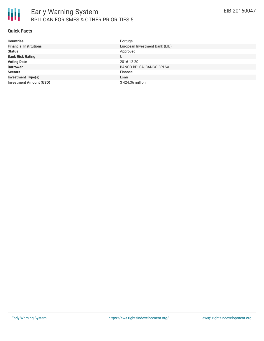

### **Quick Facts**

| <b>Countries</b>               | Portugal                       |
|--------------------------------|--------------------------------|
| <b>Financial Institutions</b>  | European Investment Bank (EIB) |
| <b>Status</b>                  | Approved                       |
| <b>Bank Risk Rating</b>        | U                              |
| <b>Voting Date</b>             | 2016-12-20                     |
| <b>Borrower</b>                | BANCO BPI SA, BANCO BPI SA     |
| <b>Sectors</b>                 | Finance                        |
| <b>Investment Type(s)</b>      | Loan                           |
| <b>Investment Amount (USD)</b> | \$424.36 million               |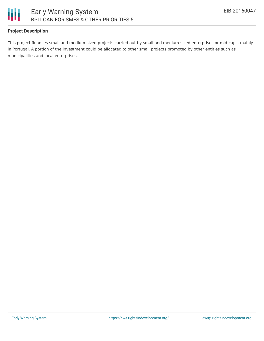

## **Project Description**

This project finances small and medium-sized projects carried out by small and medium-sized enterprises or mid-caps, mainly in Portugal. A portion of the investment could be allocated to other small projects promoted by other entities such as municipalities and local enterprises.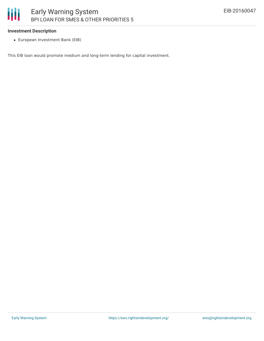## Ш Early Warning System BPI LOAN FOR SMES & OTHER PRIORITIES 5

#### **Investment Description**

European Investment Bank (EIB)

This EIB loan would promote medium and long-term lending for capital investment.